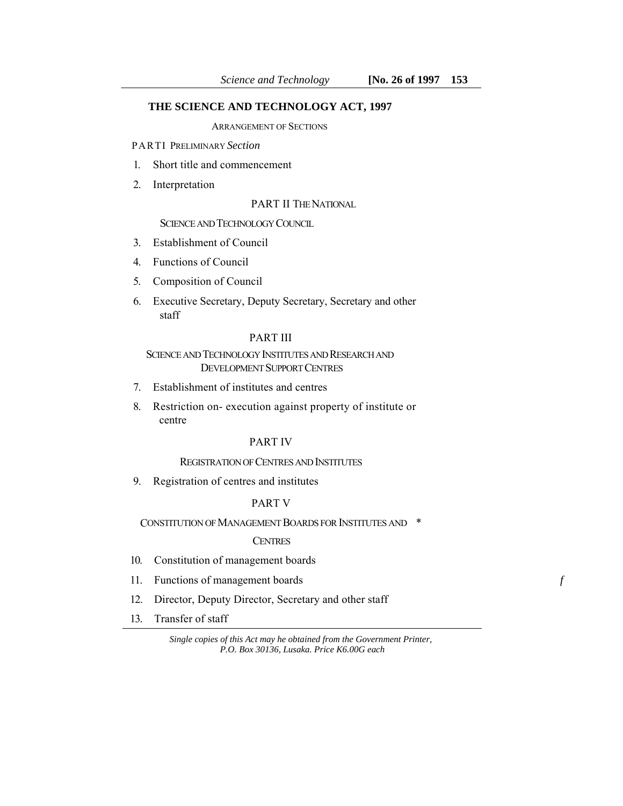# **THE SCIENCE AND TECHNOLOGY ACT, 1997**

ARRANGEMENT OF SECTIONS

PARTI PRELIMINARY *Section* 

- 1. Short title and commencement
- 2. Interpretation

PART II THE NATIONAL

### SCIENCE AND TECHNOLOGY COUNCIL

- 3. Establishment of Council
- 4. Functions of Council
- 5. Composition of Council
- 6. Executive Secretary, Deputy Secretary, Secretary and other staff

# PART III

# SCIENCE AND TECHNOLOGY INSTITUTES AND RESEARCH AND DEVELOPMENT SUPPORT CENTRES

- 7. Establishment of institutes and centres
- 8. Restriction on- execution against property of institute or centre

# PART IV

### REGISTRATION OF CENTRES AND INSTITUTES

9. Registration of centres and institutes

## PART V

CONSTITUTION OF MANAGEMENT BOARDS FOR INSTITUTES AND \*

## CENTRES

- 10. Constitution of management boards
- 11. Functions of management boards *f*
- 12. Director, Deputy Director, Secretary and other staff
- 13. Transfer of staff

*Single copies of this Act may he obtained from the Government Printer, P.O. Box 30136, Lusaka. Price K6.00G each*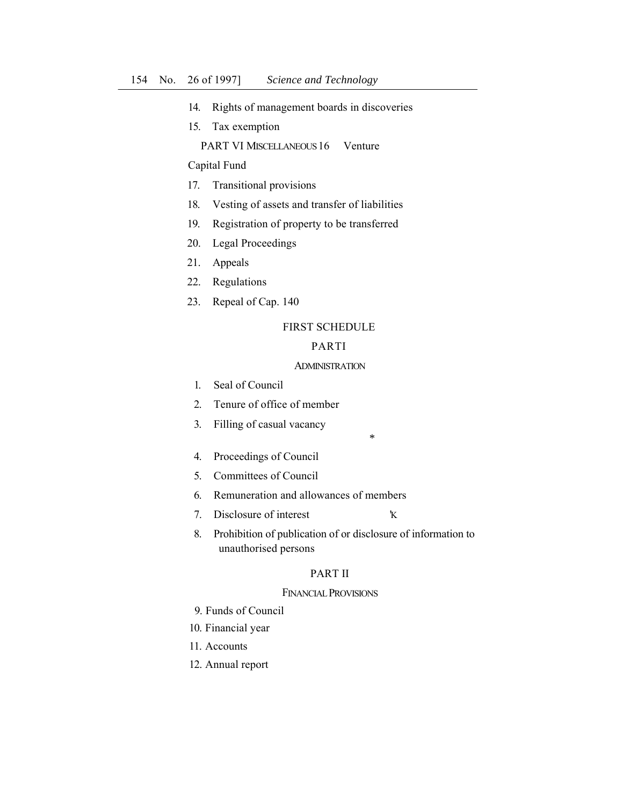- 14. Rights of management boards in discoveries
- 15. Tax exemption

PART VI MISCELLANEOUS 16 Venture

Capital Fund

- 17. Transitional provisions
- 18. Vesting of assets and transfer of liabilities
- 19. Registration of property to be transferred
- 20. Legal Proceedings
- 21. Appeals
- 22. Regulations
- 23. Repeal of Cap. 140

# FIRST SCHEDULE

## PARTI

### ADMINISTRATION

*\** 

- 1. Seal of Council
- 2. Tenure of office of member
- 3. Filling of casual vacancy
- 4. Proceedings of Council
- 5. Committees of Council
- 6. Remuneration and allowances of members
- 7. Disclosure of interest 'K
- 8. Prohibition of publication of or disclosure of information to unauthorised persons

# PART II

### FINANCIAL PROVISIONS

- 9. Funds of Council
- 10. Financial year
- 11. Accounts
- 12. Annual report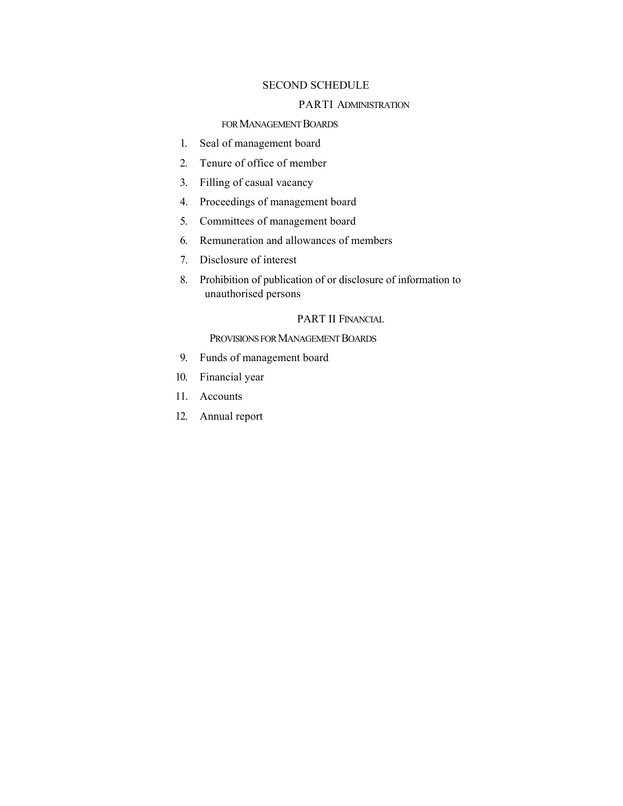# SECOND SCHEDULE

## PARTI ADMINISTRATION

# FOR MANAGEMENT BOARDS

- 1. Seal of management board
- 2. Tenure of office of member
- 3. Filling of casual vacancy
- 4. Proceedings of management board
- 5. Committees of management board
- 6. Remuneration and allowances of members
- 7. Disclosure of interest
- 8. Prohibition of publication of or disclosure of information to unauthorised persons

# PART II FINANCIAL

## PROVISIONS FOR MANAGEMENT BOARDS

- 9. Funds of management board
- 10. Financial year
- 11. Accounts
- 12. Annual report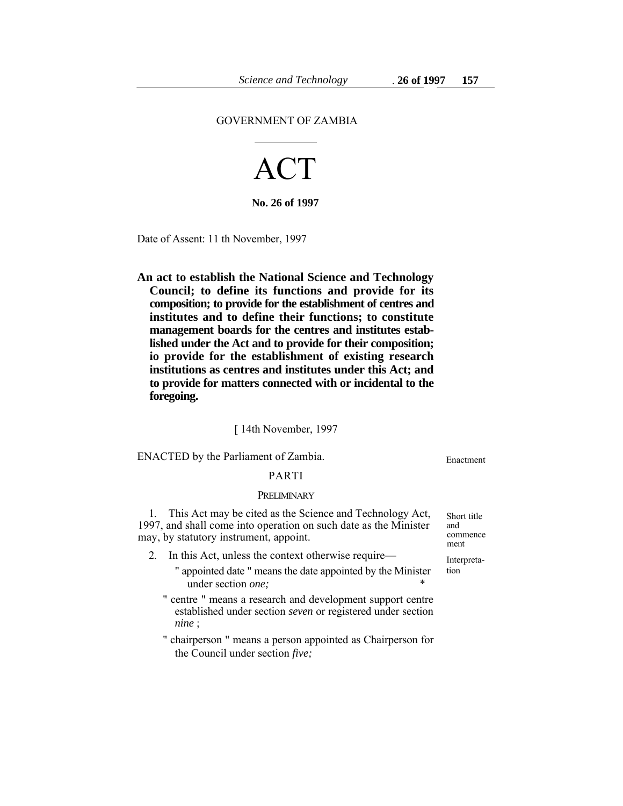#### GOVERNMENT OF ZAMBIA

# ACT

**No. 26 of 1997** 

Date of Assent: 11 th November, 1997

**An act to establish the National Science and Technology Council; to define its functions and provide for its composition; to provide for the establishment of centres and institutes and to define their functions; to constitute management boards for the centres and institutes established under the Act and to provide for their composition; io provide for the establishment of existing research institutions as centres and institutes under this Act; and to provide for matters connected with or incidental to the foregoing.** 

[ 14th November, 1997

ENACTED by the Parliament of Zambia. Enactment

#### PARTI

#### PRELIMINARY

1. This Act may be cited as the Science and Technology Act, Short title 97, and shall come into operation on such date as the Minister and 1997, and shall come into operation on such date as the Minister and<br>may by statutory instrument, appoint may, by statutory instrument, appoint.

- 2. In this Act, unless the context otherwise require— Interpreta-
	- " appointed date " means the date appointed by the Minister tion under section *one*:
	- " centre " means a research and development support centre established under section *seven* or registered under section *nine* ;
	- " chairperson " means a person appointed as Chairperson for the Council under section *five;*

ment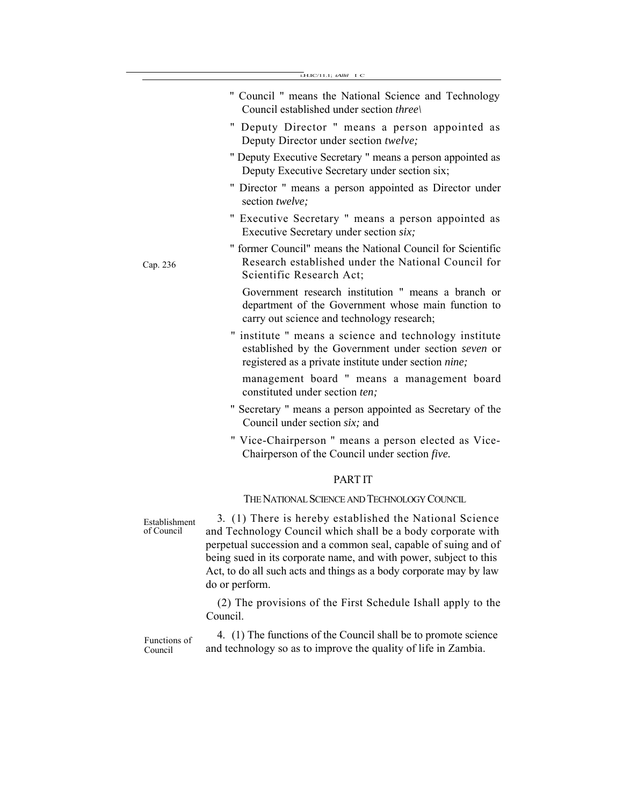|                             | LH.IC/11.1; tAlltl I C                                                                                                                                                                                                                                                                                                                                 |
|-----------------------------|--------------------------------------------------------------------------------------------------------------------------------------------------------------------------------------------------------------------------------------------------------------------------------------------------------------------------------------------------------|
|                             | " Council " means the National Science and Technology<br>Council established under section three                                                                                                                                                                                                                                                       |
|                             | " Deputy Director " means a person appointed as<br>Deputy Director under section twelve;                                                                                                                                                                                                                                                               |
|                             | " Deputy Executive Secretary " means a person appointed as<br>Deputy Executive Secretary under section six;                                                                                                                                                                                                                                            |
|                             | " Director " means a person appointed as Director under<br>section twelve;                                                                                                                                                                                                                                                                             |
|                             | " Executive Secretary " means a person appointed as<br>Executive Secretary under section six;                                                                                                                                                                                                                                                          |
| Cap. 236                    | " former Council" means the National Council for Scientific<br>Research established under the National Council for<br>Scientific Research Act;                                                                                                                                                                                                         |
|                             | Government research institution " means a branch or<br>department of the Government whose main function to<br>carry out science and technology research;                                                                                                                                                                                               |
|                             | " institute " means a science and technology institute<br>established by the Government under section seven or<br>registered as a private institute under section nine;                                                                                                                                                                                |
|                             | management board " means a management board<br>constituted under section ten;                                                                                                                                                                                                                                                                          |
|                             | " Secretary " means a person appointed as Secretary of the<br>Council under section six; and                                                                                                                                                                                                                                                           |
|                             | " Vice-Chairperson " means a person elected as Vice-<br>Chairperson of the Council under section five.                                                                                                                                                                                                                                                 |
|                             | <b>PARTIT</b>                                                                                                                                                                                                                                                                                                                                          |
|                             | THE NATIONAL SCIENCE AND TECHNOLOGY COUNCIL                                                                                                                                                                                                                                                                                                            |
| Establishment<br>of Council | 3. (1) There is hereby established the National Science<br>and Technology Council which shall be a body corporate with<br>perpetual succession and a common seal, capable of suing and of<br>being sued in its corporate name, and with power, subject to this<br>Act, to do all such acts and things as a body corporate may by law<br>do or perform. |
|                             | (2) The provisions of the First Schedule Ishall apply to the<br>Council.                                                                                                                                                                                                                                                                               |

Functions of Council 4. (1) The functions of the Council shall be to promote science and technology so as to improve the quality of life in Zambia.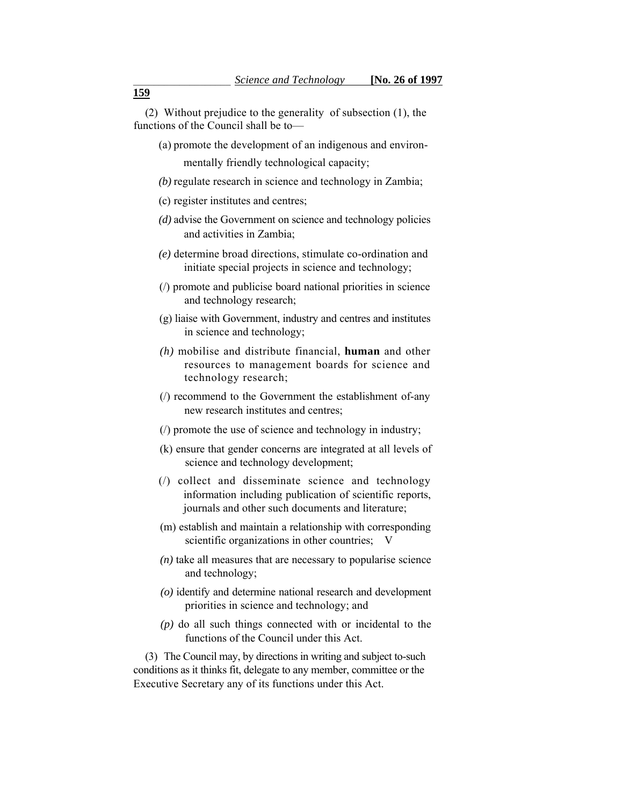(2) Without prejudice to the generality of subsection (1), the functions of the Council shall be to—

(a) promote the development of an indigenous and environ-

mentally friendly technological capacity;

- *(b)* regulate research in science and technology in Zambia;
- (c) register institutes and centres;
- *(d)* advise the Government on science and technology policies and activities in Zambia;
- *(e)* determine broad directions, stimulate co-ordination and initiate special projects in science and technology;
- (/) promote and publicise board national priorities in science and technology research;
- (g) liaise with Government, industry and centres and institutes in science and technology;
- *(h)* mobilise and distribute financial, **human** and other resources to management boards for science and technology research;
- (/) recommend to the Government the establishment of-any new research institutes and centres;
- (/) promote the use of science and technology in industry;
- (k) ensure that gender concerns are integrated at all levels of science and technology development;
- (/) collect and disseminate science and technology information including publication of scientific reports, journals and other such documents and literature;
- scientific organizations in other countries; V (m) establish and maintain a relationship with corresponding
- *(n)* take all measures that are necessary to popularise science and technology;
- *(o)* identify and determine national research and development priorities in science and technology; and
- *(p)* do all such things connected with or incidental to the functions of the Council under this Act.

 conditions as it thinks fit, delegate to any member, committee or the (3) The Council may, by directions in writing and subject to-such Executive Secretary any of its functions under this Act.

**159**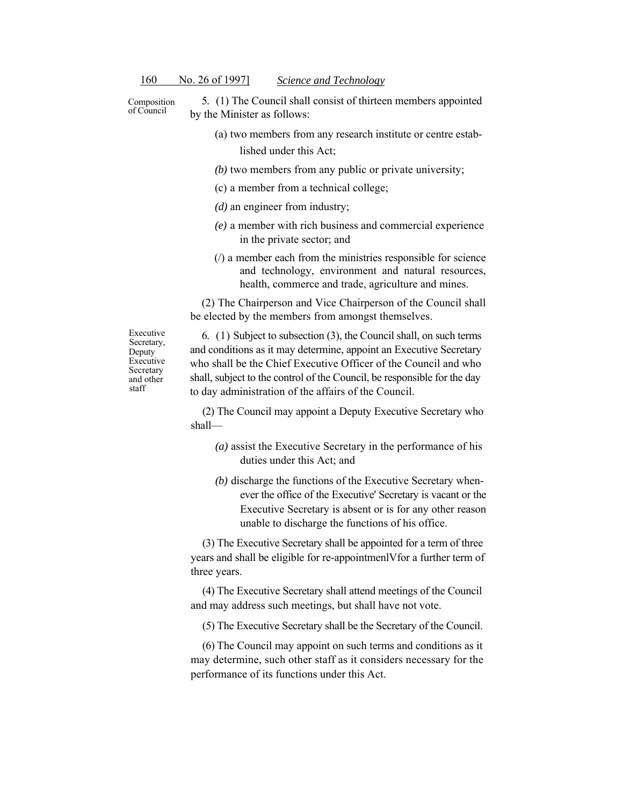Composition of Council

5. (1) The Council shall consist of thirteen members appointed by the Minister as follows:

- (a) two members from any research institute or centre established under this Act;
- *(b)* two members from any public or private university;
- (c) a member from a technical college;
- *(d)* an engineer from industry;
- *(e)* a member with rich business and commercial experience in the private sector; and
- (/) a member each from the ministries responsible for science and technology, environment and natural resources, health, commerce and trade, agriculture and mines.

(2) The Chairperson and Vice Chairperson of the Council shall be elected by the members from amongst themselves.

Executive Secretary, Deputy Executive Secretary and other staff

 6. (1) Subject to subsection (3), the Council shall, on such terms and conditions as it may determine, appoint an Executive Secretary who shall be the Chief Executive Officer of the Council and who shall, subject to the control of the Council, be responsible for the day to day administration of the affairs of the Council.

(2) The Council may appoint a Deputy Executive Secretary who shall—

- *(a)* assist the Executive Secretary in the performance of his duties under this Act; and
- *(b)* discharge the functions of the Executive Secretary whenever the office of the Executive' Secretary is vacant or the Executive Secretary is absent or is for any other reason unable to discharge the functions of his office.

(3) The Executive Secretary shall be appointed for a term of three years and shall be eligible for re-appointmenlVfor a further term of three years.

(4) The Executive Secretary shall attend meetings of the Council and may address such meetings, but shall have not vote.

(5) The Executive Secretary shall be the Secretary of the Council.

(6) The Council may appoint on such terms and conditions as it may determine, such other staff as it considers necessary for the performance of its functions under this Act.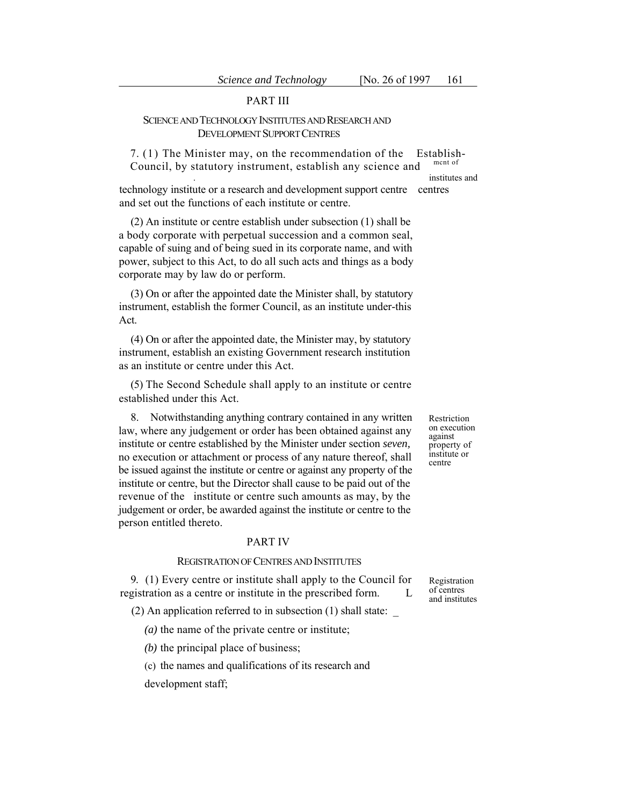# PART III

# SCIENCE AND TECHNOLOGY INSTITUTES AND RESEARCH AND DEVELOPMENT SUPPORT CENTRES

 7. (1) The Minister may, on the recommendation of the Establish-Council, by statutory instrument, establish any science and ment of

. institutes and

technology institute or a research and development support centre centres and set out the functions of each institute or centre.

(2) An institute or centre establish under subsection (1) shall be a body corporate with perpetual succession and a common seal, capable of suing and of being sued in its corporate name, and with power, subject to this Act, to do all such acts and things as a body corporate may by law do or perform.

(3) On or after the appointed date the Minister shall, by statutory instrument, establish the former Council, as an institute under-this Act.

(4) On or after the appointed date, the Minister may, by statutory instrument, establish an existing Government research institution as an institute or centre under this Act.

(5) The Second Schedule shall apply to an institute or centre established under this Act.

8. Notwithstanding anything contrary contained in any written Restriction<br>w where any judgement or order has been obtained against any on execution law, where any judgement or order has been obtained against any on execution<br>institute or centre established by the Minister under section *seven*, property of<br>no execution or attachment or process of any nature thereof, s no execution or attachment or process of any nature thereof, shall usuall centre be issued against the institute or centre or against any property of the institute or centre, but the Director shall cause to be paid out of the revenue of the institute or centre such amounts as may, by the judgement or order, be awarded against the institute or centre to the person entitled thereto.

#### PART IV

#### REGISTRATION OF CENTRES AND INSTITUTES

9. (1) Every centre or institute shall apply to the Council for Registration registration as a centre or institute in the prescribed form.  $L_{\text{and} \text{institutes}}$ 

 $(2)$  An application referred to in subsection  $(1)$  shall state:

*(a)* the name of the private centre or institute;

*(b)* the principal place of business;

(c) the names and qualifications of its research and

development staff;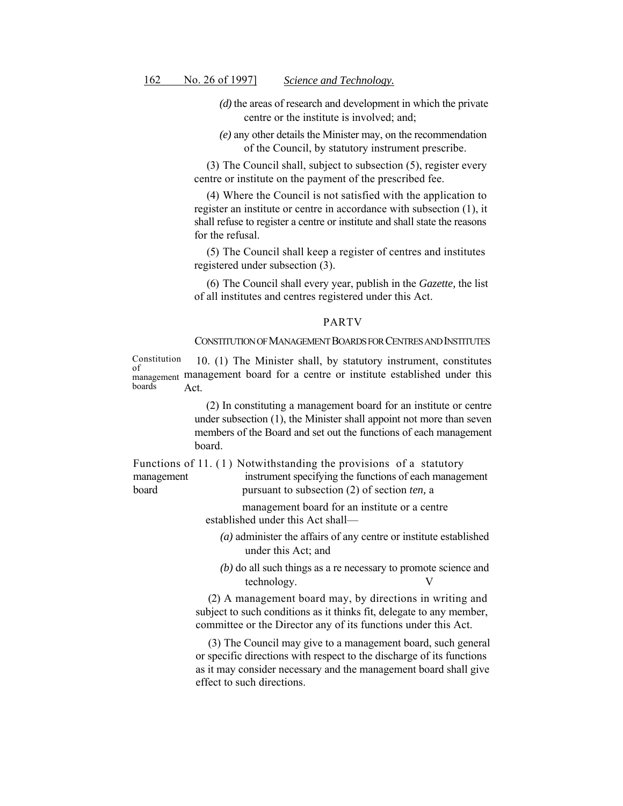- *(d)* the areas of research and development in which the private centre or the institute is involved; and;
- *(e)* any other details the Minister may, on the recommendation of the Council, by statutory instrument prescribe.

(3) The Council shall, subject to subsection (5), register every centre or institute on the payment of the prescribed fee.

 (4) Where the Council is not satisfied with the application to register an institute or centre in accordance with subsection (1), it shall refuse to register a centre or institute and shall state the reasons for the refusal.

(5) The Council shall keep a register of centres and institutes registered under subsection (3).

(6) The Council shall every year, publish in the *Gazette,* the list of all institutes and centres registered under this Act.

#### PARTV

#### CONSTITUTION OF MANAGEMENT BOARDS FOR CENTRES AND INSTITUTES

Constitution 10. (1) The Minister shall, by statutory instrument, constitutes of management management board for a centre or institute established under this boards Act.

> (2) In constituting a management board for an institute or centre under subsection (1), the Minister shall appoint not more than seven members of the Board and set out the functions of each management board.

Functions of 11. (1) Notwithstanding the provisions of a statutory hoard management instrument specifying the functions of each management pursuant to subsection (2) of section *ten*, a

> management board for an institute or a centre established under this Act shall—

- *(a)* administer the affairs of any centre or institute established under this Act; and
- *(b)* do all such things as a re necessary to promote science and technology. V

(2) A management board may, by directions in writing and subject to such conditions as it thinks fit, delegate to any member, committee or the Director any of its functions under this Act.

(3) The Council may give to a management board, such general or specific directions with respect to the discharge of its functions as it may consider necessary and the management board shall give effect to such directions.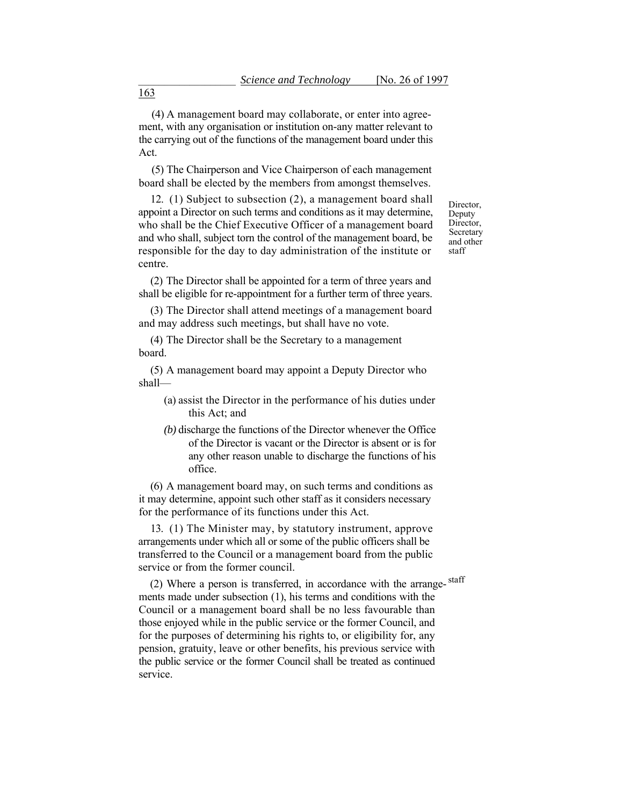(4) A management board may collaborate, or enter into agreement, with any organisation or institution on-any matter relevant to the carrying out of the functions of the management board under this Act.

(5) The Chairperson and Vice Chairperson of each management board shall be elected by the members from amongst themselves.

 appoint a Director on such terms and conditions as it may determine, 12. (1) Subject to subsection (2), a management board shall who shall be the Chief Executive Officer of a management board and who shall, subject torn the control of the management board, be responsible for the day to day administration of the institute or centre.

(2) The Director shall be appointed for a term of three years and shall be eligible for re-appointment for a further term of three years.

 (3) The Director shall attend meetings of a management board and may address such meetings, but shall have no vote.

(4) The Director shall be the Secretary to a management board.

(5) A management board may appoint a Deputy Director who shall—

- (a) assist the Director in the performance of his duties under this Act; and
- any other reason unable to discharge the functions of his *(b)* discharge the functions of the Director whenever the Office of the Director is vacant or the Director is absent or is for office.

(6) A management board may, on such terms and conditions as it may determine, appoint such other staff as it considers necessary for the performance of its functions under this Act.

13. (1) The Minister may, by statutory instrument, approve arrangements under which all or some of the public officers shall be transferred to the Council or a management board from the public service or from the former council.

(2) Where a person is transferred, in accordance with the arrange-staff ments made under subsection (1), his terms and conditions with the Council or a management board shall be no less favourable than those enjoyed while in the public service or the former Council, and for the purposes of determining his rights to, or eligibility for, any pension, gratuity, leave or other benefits, his previous service with the public service or the former Council shall be treated as continued service.

Director, Deputy Director, **Secretary** and other staff

163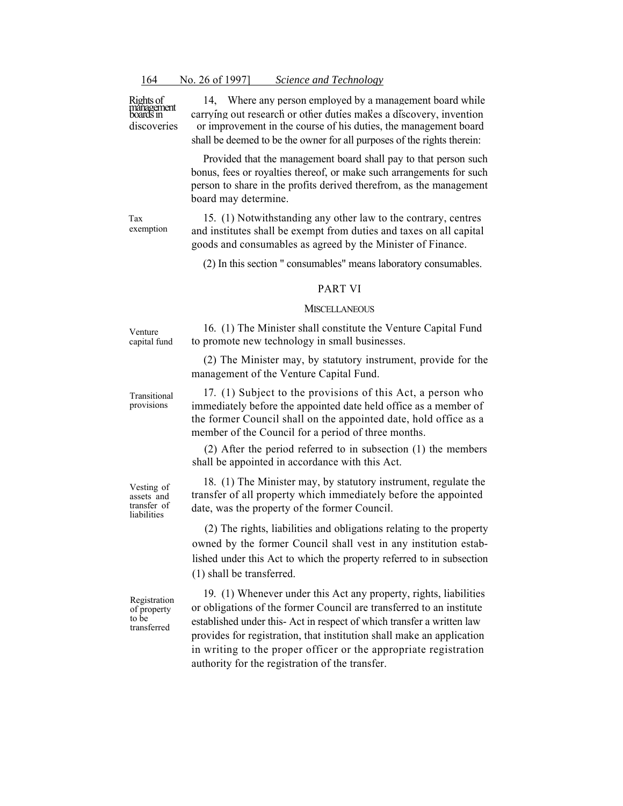Rights of<br>management<br>boards in discoveries

14, Where any person employed by a management board while carrying out research or other duties makes a discovery, invention or improvement in the course of his duties, the management board shall be deemed to be the owner for all purposes of the rights therein:

Provided that the management board shall pay to that person such bonus, fees or royalties thereof, or make such arrangements for such person to share in the profits derived therefrom, as the management board may determine.

Tax exemption

15. (1) Notwithstanding any other law to the contrary, centres and institutes shall be exempt from duties and taxes on all capital goods and consumables as agreed by the Minister of Finance.

(2) In this section " consumables" means laboratory consumables.

## PART VI

# **MISCELLANEOUS** 16. (1) The Minister shall constitute the Venture Capital Fund

(2) The Minister may, by statutory instrument, provide for the

to promote new technology in small businesses.

Venture capital fund

provisions

Transitional management of the Venture Capital Fund.

17. (1) Subject to the provisions of this Act, a person who immediately before the appointed date held office as a member of the former Council shall on the appointed date, hold office as a member of the Council for a period of three months.

(2) After the period referred to in subsection (1) the members shall be appointed in accordance with this Act.

Vesting of assets and transfer of liabilities

Registration of property to be transferred

 18. (1) The Minister may, by statutory instrument, regulate the transfer of all property which immediately before the appointed date, was the property of the former Council.

(2) The rights, liabilities and obligations relating to the property owned by the former Council shall vest in any institution established under this Act to which the property referred to in subsection (1) shall be transferred.

19. (1) Whenever under this Act any property, rights, liabilities or obligations of the former Council are transferred to an institute established under this- Act in respect of which transfer a written law provides for registration, that institution shall make an application in writing to the proper officer or the appropriate registration authority for the registration of the transfer.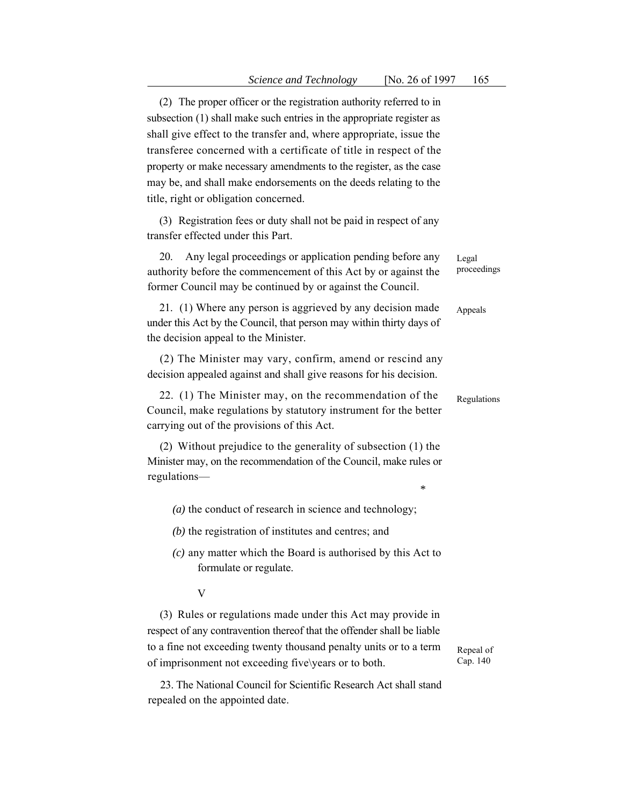property or make necessary amendments to the register, as the case (2) The proper officer or the registration authority referred to in subsection (1) shall make such entries in the appropriate register as shall give effect to the transfer and, where appropriate, issue the transferee concerned with a certificate of title in respect of the may be, and shall make endorsements on the deeds relating to the title, right or obligation concerned.

(3) Registration fees or duty shall not be paid in respect of any transfer effected under this Part.

20. Any legal proceedings or application pending before any Legal authority before the commencement of this Act by or against the proceedings former Council may be continued by or against the Council.

 under this Act by the Council, that person may within thirty days of 21. (1) Where any person is aggrieved by any decision made Appeals the decision appeal to the Minister.

(2) The Minister may vary, confirm, amend or rescind any decision appealed against and shall give reasons for his decision.

22. (1) The Minister may, on the recommendation of the  $\qquad$  Regulations Council, make regulations by statutory instrument for the better carrying out of the provisions of this Act.

(2) Without prejudice to the generality of subsection (1) the Minister may, on the recommendation of the Council, make rules or regulations—

- *(a)* the conduct of research in science and technology;
- *(b)* the registration of institutes and centres; and
- *(c)* any matter which the Board is authorised by this Act to formulate or regulate.

V

 (3) Rules or regulations made under this Act may provide in respect of any contravention thereof that the offender shall be liable to a fine not exceeding twenty thousand penalty units or to a term Repeal of of imprisonment not exceeding five\years or to both. Cap. 140

23. The National Council for Scientific Research Act shall stand repealed on the appointed date.

*\**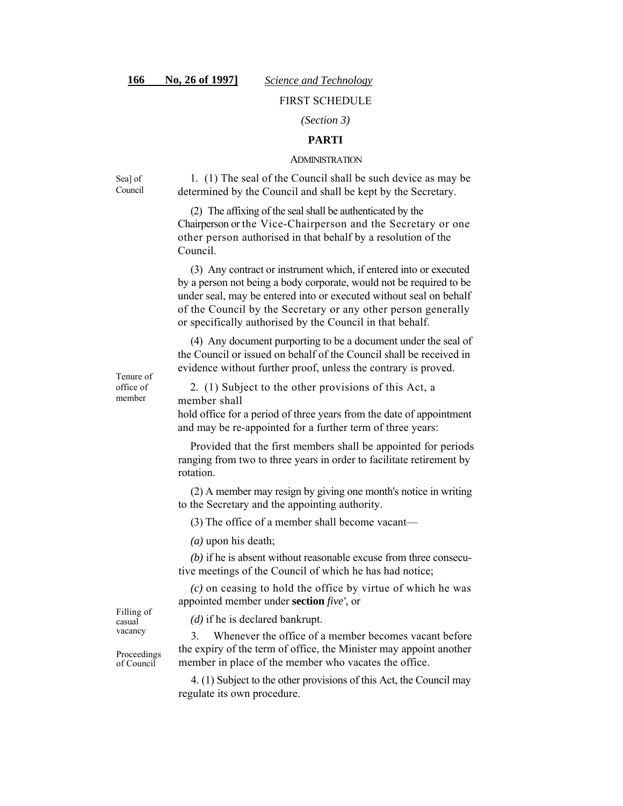# FIRST SCHEDULE

## *(Section 3)*

# **PARTI**

#### ADMINISTRATION

Sea] of Council

 1. (1) The seal of the Council shall be such device as may be determined by the Council and shall be kept by the Secretary.

 Chairperson or the Vice-Chairperson and the Secretary or one other person authorised in that behalf by a resolution of the (2) The affixing of the seal shall be authenticated by the Council.

 by a person not being a body corporate, would not be required to be (3) Any contract or instrument which, if entered into or executed under seal, may be entered into or executed without seal on behalf of the Council by the Secretary or any other person generally or specifically authorised by the Council in that behalf.

(4) Any document purporting to be a document under the seal of the Council or issued on behalf of the Council shall be received in evidence without further proof, unless the contrary is proved.

Tenure of office of member

2. (1) Subject to the other provisions of this Act, a member shall

hold office for a period of three years from the date of appointment and may be re-appointed for a further term of three years:

Provided that the first members shall be appointed for periods ranging from two to three years in order to facilitate retirement by rotation.

 (2) A member may resign by giving one month's notice in writing to the Secretary and the appointing authority.

(3) The office of a member shall become vacant—

*(a)* upon his death;

*(b)* if he is absent without reasonable excuse from three consecutive meetings of the Council of which he has had notice;

*(c)* on ceasing to hold the office by virtue of which he was appointed member under **section** *five',* or

*(d)* if he is declared bankrupt.

3. Whenever the office of a member becomes vacant before the expiry of the term of office, the Minister may appoint another member in place of the member who vacates the office.

4. (1) Subject to the other provisions of this Act, the Council may regulate its own procedure.

Filling of casual vacancy

Proceedings of Council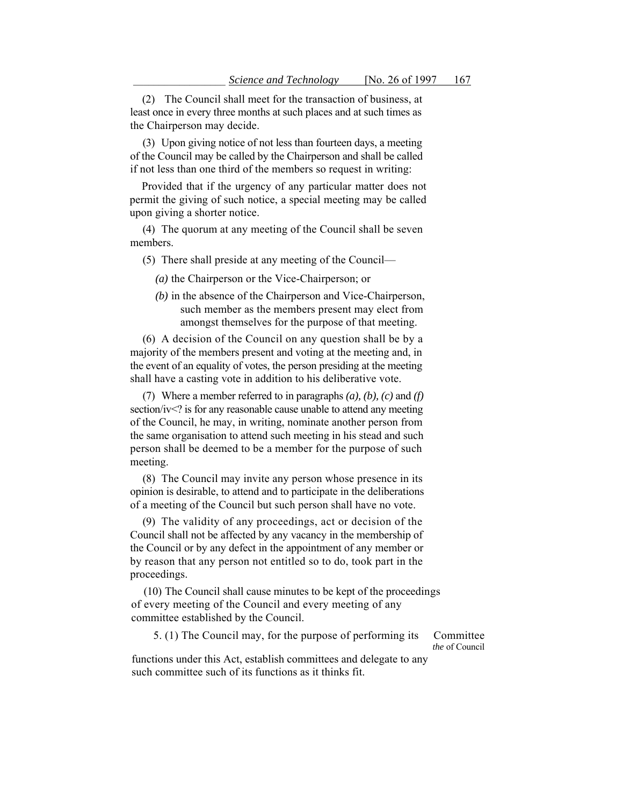(2) The Council shall meet for the transaction of business, at least once in every three months at such places and at such times as the Chairperson may decide.

 of the Council may be called by the Chairperson and shall be called (3) Upon giving notice of not less than fourteen days, a meeting if not less than one third of the members so request in writing:

Provided that if the urgency of any particular matter does not permit the giving of such notice, a special meeting may be called upon giving a shorter notice.

(4) The quorum at any meeting of the Council shall be seven members.

(5) There shall preside at any meeting of the Council—

*(a)* the Chairperson or the Vice-Chairperson; or

*(b)* in the absence of the Chairperson and Vice-Chairperson, such member as the members present may elect from amongst themselves for the purpose of that meeting.

 the event of an equality of votes, the person presiding at the meeting (6) A decision of the Council on any question shall be by a majority of the members present and voting at the meeting and, in shall have a casting vote in addition to his deliberative vote.

 person shall be deemed to be a member for the purpose of such (7) Where a member referred to in paragraphs *(a), (b), (c)* and *(f)*  section/iv<? is for any reasonable cause unable to attend any meeting of the Council, he may, in writing, nominate another person from the same organisation to attend such meeting in his stead and such meeting.

 (8) The Council may invite any person whose presence in its opinion is desirable, to attend and to participate in the deliberations of a meeting of the Council but such person shall have no vote.

(9) The validity of any proceedings, act or decision of the Council shall not be affected by any vacancy in the membership of the Council or by any defect in the appointment of any member or by reason that any person not entitled so to do, took part in the proceedings.

 of every meeting of the Council and every meeting of any (10) The Council shall cause minutes to be kept of the proceedings committee established by the Council.

5. (1) The Council may, for the purpose of performing its Committee

 *the* of Council

functions under this Act, establish committees and delegate to any such committee such of its functions as it thinks fit.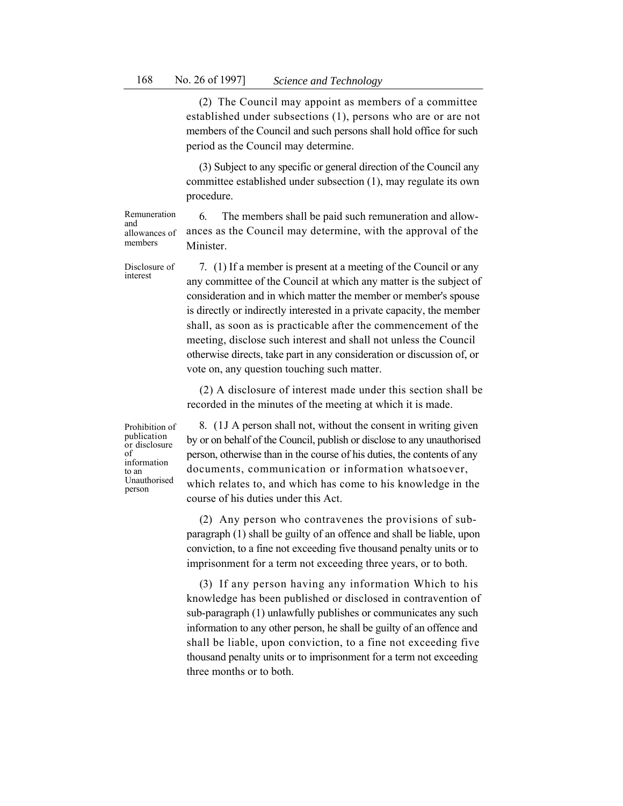members of the Council and such persons shall hold office for such (2) The Council may appoint as members of a committee established under subsections (1), persons who are or are not period as the Council may determine.

(3) Subject to any specific or general direction of the Council any committee established under subsection (1), may regulate its own procedure.

6. The members shall be paid such remuneration and allowances as the Council may determine, with the approval of the Minister.

Disclosure of interest

Remuneration

allowances of members

and

 7. (1) If a member is present at a meeting of the Council or any any committee of the Council at which any matter is the subject of consideration and in which matter the member or member's spouse is directly or indirectly interested in a private capacity, the member shall, as soon as is practicable after the commencement of the meeting, disclose such interest and shall not unless the Council otherwise directs, take part in any consideration or discussion of, or vote on, any question touching such matter.

(2) A disclosure of interest made under this section shall be recorded in the minutes of the meeting at which it is made.

Prohibition of publication or disclosure of information to an Unauthorised person

 8. (1J A person shall not, without the consent in writing given by or on behalf of the Council, publish or disclose to any unauthorised person, otherwise than in the course of his duties, the contents of any documents, communication or information whatsoever, which relates to, and which has come to his knowledge in the course of his duties under this Act.

(2) Any person who contravenes the provisions of subparagraph (1) shall be guilty of an offence and shall be liable, upon conviction, to a fine not exceeding five thousand penalty units or to imprisonment for a term not exceeding three years, or to both.

 information to any other person, he shall be guilty of an offence and (3) If any person having any information Which to his knowledge has been published or disclosed in contravention of sub-paragraph (1) unlawfully publishes or communicates any such shall be liable, upon conviction, to a fine not exceeding five thousand penalty units or to imprisonment for a term not exceeding three months or to both.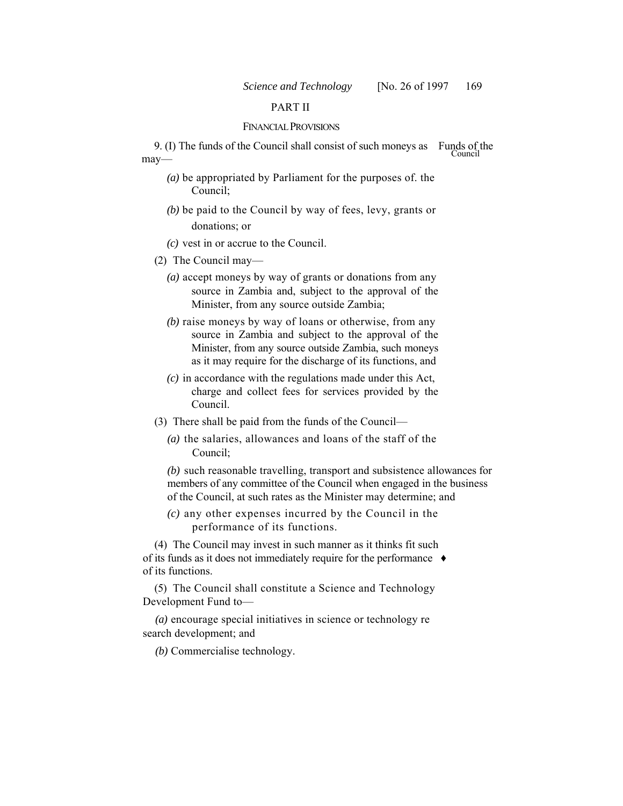# PART II

#### FINANCIAL PROVISIONS

9. (I) The funds of the Council shall consist of such moneys as Funds of the Council may—

- *(a)* be appropriated by Parliament for the purposes of. the Council;
- *(b)* be paid to the Council by way of fees, levy, grants or donations; or
- *(c)* vest in or accrue to the Council.
- (2) The Council may—
	- *(a)* accept moneys by way of grants or donations from any source in Zambia and, subject to the approval of the Minister, from any source outside Zambia;
	- *(b)* raise moneys by way of loans or otherwise, from any source in Zambia and subject to the approval of the Minister, from any source outside Zambia, such moneys as it may require for the discharge of its functions, and
	- *(c)* in accordance with the regulations made under this Act, charge and collect fees for services provided by the Council.
- (3) There shall be paid from the funds of the Council—
	- *(a)* the salaries, allowances and loans of the staff of the Council;

 *(b)* such reasonable travelling, transport and subsistence allowances for members of any committee of the Council when engaged in the business of the Council, at such rates as the Minister may determine; and

*(c)* any other expenses incurred by the Council in the performance of its functions.

(4) The Council may invest in such manner as it thinks fit such of its funds as it does not immediately require for the performance ♦ of its functions.

(5) The Council shall constitute a Science and Technology Development Fund to—

*(a)* encourage special initiatives in science or technology re search development; and

*(b)* Commercialise technology.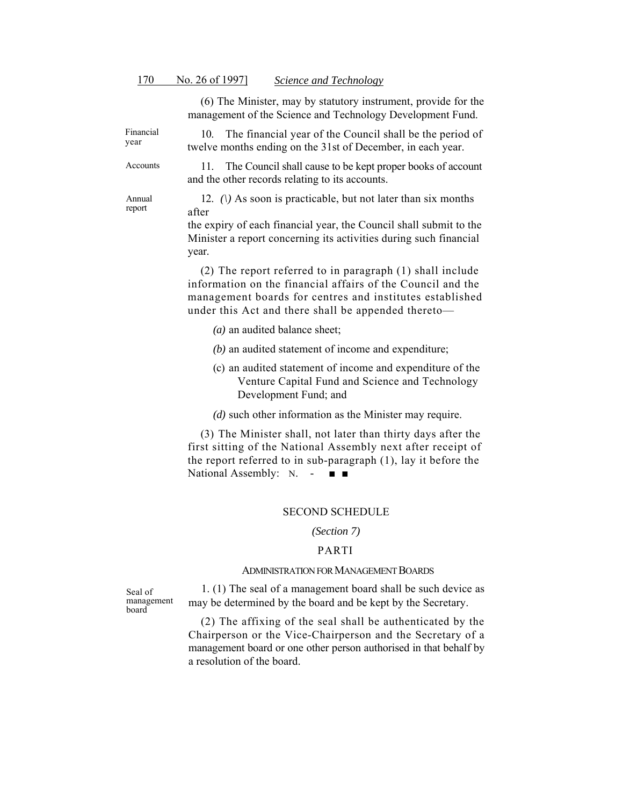(6) The Minister, may by statutory instrument, provide for the management of the Science and Technology Development Fund.

Financial year 10. The financial year of the Council shall be the period of twelve months ending on the 31st of December, in each year.

> 11. The Council shall cause to be kept proper books of account and the other records relating to its accounts.

Annual report

Accounts

12. *(\)* As soon is practicable, but not later than six months after

the expiry of each financial year, the Council shall submit to the Minister a report concerning its activities during such financial year.

(2) The report referred to in paragraph (1) shall include information on the financial affairs of the Council and the management boards for centres and institutes established under this Act and there shall be appended thereto—

- *(a)* an audited balance sheet;
- *(b)* an audited statement of income and expenditure;
- (c) an audited statement of income and expenditure of the Venture Capital Fund and Science and Technology Development Fund; and

*(d)* such other information as the Minister may require.

National Assembly: N. - ■ ■ (3) The Minister shall, not later than thirty days after the first sitting of the National Assembly next after receipt of the report referred to in sub-paragraph (1), lay it before the

### SECOND SCHEDULE

#### *(Section 7)*

#### PARTI

# ADMINISTRATION FOR MANAGEMENT BOARDS

Seal of management board

 1. (1) The seal of a management board shall be such device as may be determined by the board and be kept by the Secretary.

(2) The affixing of the seal shall be authenticated by the Chairperson or the Vice-Chairperson and the Secretary of a management board or one other person authorised in that behalf by a resolution of the board.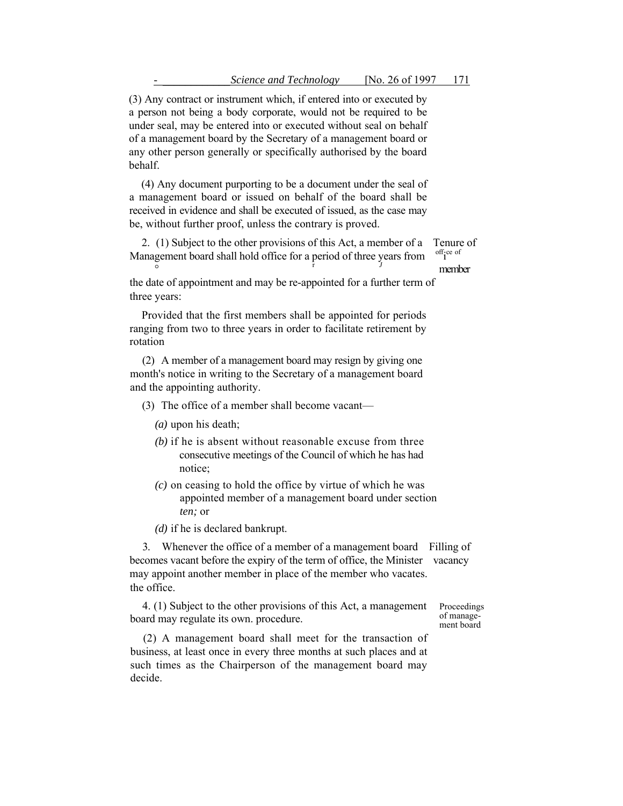(3) Any contract or instrument which, if entered into or executed by a person not being a body corporate, would not be required to be under seal, may be entered into or executed without seal on behalf of a management board by the Secretary of a management board or any other person generally or specifically authorised by the board behalf.

(4) Any document purporting to be a document under the seal of a management board or issued on behalf of the board shall be received in evidence and shall be executed of issued, as the case may be, without further proof, unless the contrary is proved.

 2. (1) Subject to the other provisions of this Act, a member of a Tenure of Management board shall hold office for a period of three years from  $\int_{J}^{\text{off}}$  respectively off;ce of

the date of appointment and may be re-appointed for a further term of three years:

Provided that the first members shall be appointed for periods ranging from two to three years in order to facilitate retirement by rotation

 (2) A member of a management board may resign by giving one month's notice in writing to the Secretary of a management board and the appointing authority.

(3) The office of a member shall become vacant—

- *(a)* upon his death;
- *(b)* if he is absent without reasonable excuse from three consecutive meetings of the Council of which he has had notice;
- *(c)* on ceasing to hold the office by virtue of which he was appointed member of a management board under section *ten;* or
- *(d)* if he is declared bankrupt.

 3. Whenever the office of a member of a management board Filling of becomes vacant before the expiry of the term of office, the Minister vacancy may appoint another member in place of the member who vacates. the office.

4. (1) Subject to the other provisions of this Act, a management Proceedings of management  $\frac{1}{2}$  of management  $\frac{1}{2}$  of management  $\frac{1}{2}$ board may regulate its own. procedure.

(2) A management board shall meet for the transaction of business, at least once in every three months at such places and at such times as the Chairperson of the management board may decide.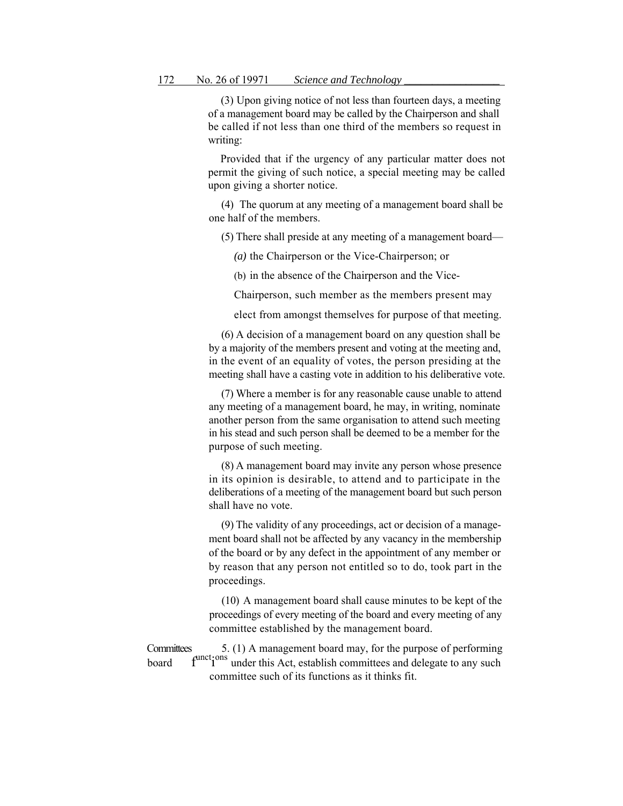(3) Upon giving notice of not less than fourteen days, a meeting of a management board may be called by the Chairperson and shall be called if not less than one third of the members so request in writing:

 Provided that if the urgency of any particular matter does not permit the giving of such notice, a special meeting may be called upon giving a shorter notice.

(4) The quorum at any meeting of a management board shall be one half of the members.

(5) There shall preside at any meeting of a management board—

*(a)* the Chairperson or the Vice-Chairperson; or

(b) in the absence of the Chairperson and the Vice-

Chairperson, such member as the members present may

elect from amongst themselves for purpose of that meeting.

 (6) A decision of a management board on any question shall be by a majority of the members present and voting at the meeting and, in the event of an equality of votes, the person presiding at the meeting shall have a casting vote in addition to his deliberative vote.

 any meeting of a management board, he may, in writing, nominate another person from the same organisation to attend such meeting (7) Where a member is for any reasonable cause unable to attend in his stead and such person shall be deemed to be a member for the purpose of such meeting.

(8) A management board may invite any person whose presence in its opinion is desirable, to attend and to participate in the deliberations of a meeting of the management board but such person shall have no vote.

(9) The validity of any proceedings, act or decision of a management board shall not be affected by any vacancy in the membership of the board or by any defect in the appointment of any member or by reason that any person not entitled so to do, took part in the proceedings.

 (10) A management board shall cause minutes to be kept of the proceedings of every meeting of the board and every meeting of any committee established by the management board.

Committees 5. (1) A management board may, for the purpose of performing board  $f^{\text{unc}}i^{\text{ons}}$  under this Act, establish committees and delegate to any such committee such of its functions as it thinks fit.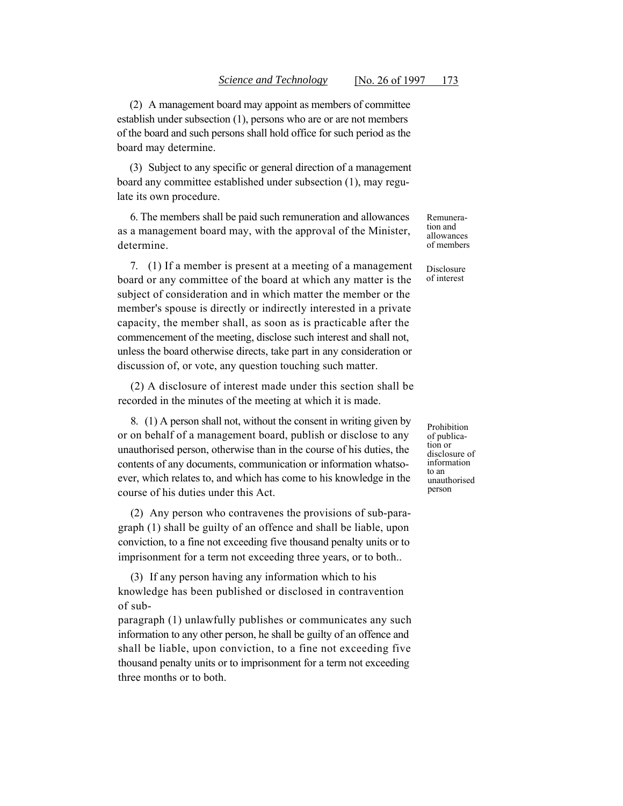of the board and such persons shall hold office for such period as the (2) A management board may appoint as members of committee establish under subsection (1), persons who are or are not members board may determine.

(3) Subject to any specific or general direction of a management board any committee established under subsection (1), may regulate its own procedure.

 as a management board may, with the approval of the Minister, 6. The members shall be paid such remuneration and allowances determine.

 7. (1) If a member is present at a meeting of a management board or any committee of the board at which any matter is the discussion of, or vote, any question touching such matter. subject of consideration and in which matter the member or the member's spouse is directly or indirectly interested in a private capacity, the member shall, as soon as is practicable after the commencement of the meeting, disclose such interest and shall not, unless the board otherwise directs, take part in any consideration or

(2) A disclosure of interest made under this section shall be recorded in the minutes of the meeting at which it is made.

 8. (1) A person shall not, without the consent in writing given by or on behalf of a management board, publish or disclose to any unauthorised person, otherwise than in the course of his duties, the contents of any documents, communication or information whatsoever, which relates to, and which has come to his knowledge in the course of his duties under this Act.

(2) Any person who contravenes the provisions of sub-paragraph (1) shall be guilty of an offence and shall be liable, upon conviction, to a fine not exceeding five thousand penalty units or to imprisonment for a term not exceeding three years, or to both..

(3) If any person having any information which to his knowledge has been published or disclosed in contravention of sub-

 information to any other person, he shall be guilty of an offence and paragraph (1) unlawfully publishes or communicates any such shall be liable, upon conviction, to a fine not exceeding five thousand penalty units or to imprisonment for a term not exceeding three months or to both.

Remuneration and allowances of members

Disclosure of interest

Prohibition of publication or disclosure of information to an unauthorised person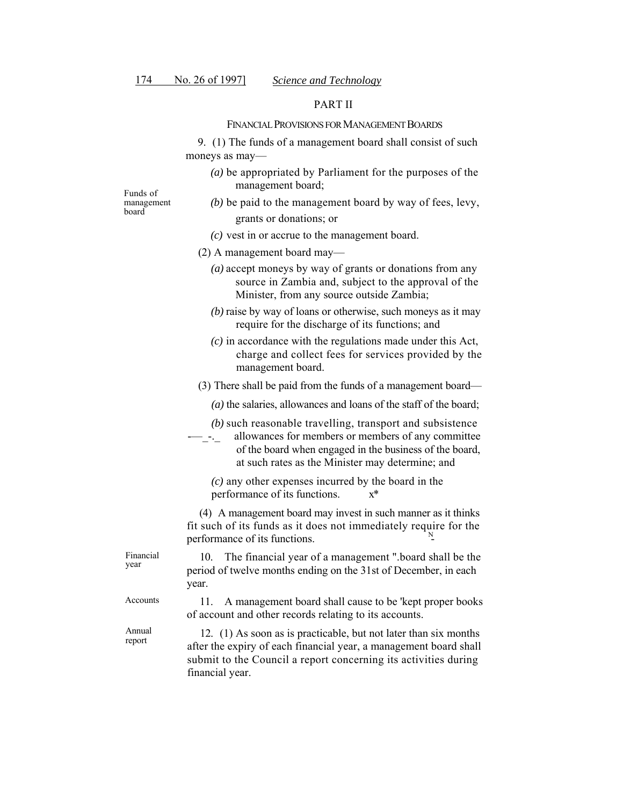## PART II

### FINANCIAL PROVISIONS FOR MANAGEMENT BOARDS

9. (1) The funds of a management board shall consist of such moneys as may—

*(a)* be appropriated by Parliament for the purposes of the management board;

Funds of management board

Financial year

Accounts

Annual report

- *(b)* be paid to the management board by way of fees, levy, grants or donations; or
- *(c)* vest in or accrue to the management board.
- (2) A management board may—
	- *(a)* accept moneys by way of grants or donations from any source in Zambia and, subject to the approval of the Minister, from any source outside Zambia;
	- *(b)* raise by way of loans or otherwise, such moneys as it may require for the discharge of its functions; and
	- *(c)* in accordance with the regulations made under this Act, charge and collect fees for services provided by the management board.
- (3) There shall be paid from the funds of a management board—
	- *(a)* the salaries, allowances and loans of the staff of the board;
	- *(b)* such reasonable travelling, transport and subsistence
- -<sub>--</sub> allowances for members or members of any committee of the board when engaged in the business of the board, at such rates as the Minister may determine; and

*(c)* any other expenses incurred by the board in the performance of its functions. x\*

(4) A management board may invest in such manner as it thinks fit such of its funds as it does not immediately require for the performance of its functions.  $\ddot{\phantom{0}}$ 

10. The financial year of a management ".board shall be the period of twelve months ending on the 31st of December, in each year.

11. A management board shall cause to be 'kept proper books of account and other records relating to its accounts.

12. (1) As soon as is practicable, but not later than six months after the expiry of each financial year, a management board shall submit to the Council a report concerning its activities during financial year.